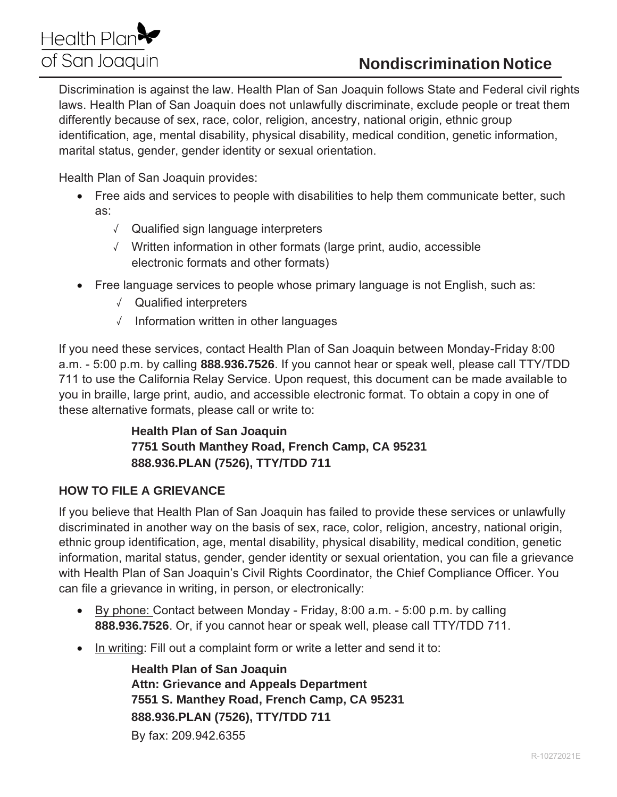# Health Plan<sup>§</sup> of San Joaquin

# **Nondiscrimination Notice**

Discrimination is against the law. Health Plan of San Joaquin follows State and Federal civil rights laws. Health Plan of San Joaquin does not unlawfully discriminate, exclude people or treat them differently because of sex, race, color, religion, ancestry, national origin, ethnic group identification, age, mental disability, physical disability, medical condition, genetic information, marital status, gender, gender identity or sexual orientation.

Health Plan of San Joaquin provides:

- Free aids and services to people with disabilities to help them communicate better, such as:
	- √ Qualified sign language interpreters
	- √ Written information in other formats (large print, audio, accessible electronic formats and other formats)
- Free language services to people whose primary language is not English, such as:
	- √ Qualified interpreters
	- $\sqrt{ }$  Information written in other languages

If you need these services, contact Health Plan of San Joaquin between Monday-Friday 8:00 a.m. - 5:00 p.m. by calling 888.936.7526. If you cannot hear or speak well, please call TTY/TDD 711 to use the California Relay Service. Upon request, this document can be made available to you in braille, large print, audio, and accessible electronic format. To obtain a copy in one of these alternative formats, please call or write to:

## **Health Plan of San Joaquin** 7751 South Manthey Road, French Camp, CA 95231 888.936.PLAN (7526), TTY/TDD 711

#### **HOW TO FILE A GRIEVANCE**

If you believe that Health Plan of San Joaquin has failed to provide these services or unlawfully discriminated in another way on the basis of sex, race, color, religion, ancestry, national origin, ethnic group identification, age, mental disability, physical disability, medical condition, genetic information, marital status, gender, gender identity or sexual orientation, you can file a grievance with Health Plan of San Joaquin's Civil Rights Coordinator, the Chief Compliance Officer. You can file a grievance in writing, in person, or electronically:

- By phone: Contact between Monday Friday, 8:00 a.m. 5:00 p.m. by calling 888.936.7526. Or, if you cannot hear or speak well, please call TTY/TDD 711.
- In writing: Fill out a complaint form or write a letter and send it to:

**Health Plan of San Joaquin Attn: Grievance and Appeals Department** 7551 S. Manthey Road, French Camp, CA 95231 888.936.PLAN (7526), TTY/TDD 711 By fax: 209.942.6355